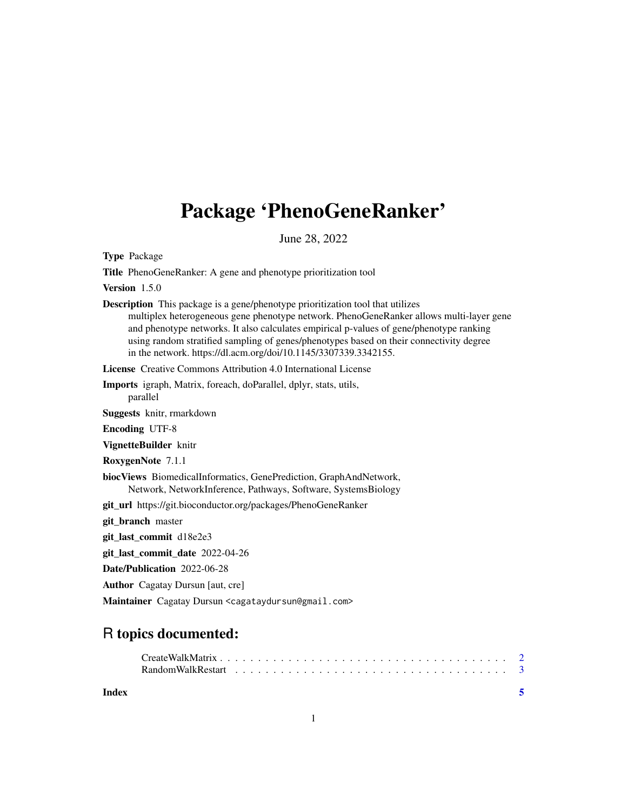## Package 'PhenoGeneRanker'

June 28, 2022

Type Package

Title PhenoGeneRanker: A gene and phenotype prioritization tool

Version 1.5.0

Description This package is a gene/phenotype prioritization tool that utilizes multiplex heterogeneous gene phenotype network. PhenoGeneRanker allows multi-layer gene and phenotype networks. It also calculates empirical p-values of gene/phenotype ranking using random stratified sampling of genes/phenotypes based on their connectivity degree in the network. https://dl.acm.org/doi/10.1145/3307339.3342155.

License Creative Commons Attribution 4.0 International License

Imports igraph, Matrix, foreach, doParallel, dplyr, stats, utils, parallel

Suggests knitr, rmarkdown

Encoding UTF-8

VignetteBuilder knitr

RoxygenNote 7.1.1

biocViews BiomedicalInformatics, GenePrediction, GraphAndNetwork, Network, NetworkInference, Pathways, Software, SystemsBiology

git\_url https://git.bioconductor.org/packages/PhenoGeneRanker

git\_branch master

git\_last\_commit d18e2e3

git last commit date 2022-04-26

Date/Publication 2022-06-28

Author Cagatay Dursun [aut, cre]

Maintainer Cagatay Dursun <cagataydursun@gmail.com>

### R topics documented:

| Random Walk Restart $\ldots \ldots \ldots \ldots \ldots \ldots \ldots \ldots \ldots \ldots \ldots \ldots$ |  |  |  |  |  |  |  |  |  |  |  |  |  |  |
|-----------------------------------------------------------------------------------------------------------|--|--|--|--|--|--|--|--|--|--|--|--|--|--|
|                                                                                                           |  |  |  |  |  |  |  |  |  |  |  |  |  |  |

#### **Index** [5](#page-4-0). The second state of the second state of the second state of the second state of the second state of the second state of the second state of the second state of the second state of the second state of the second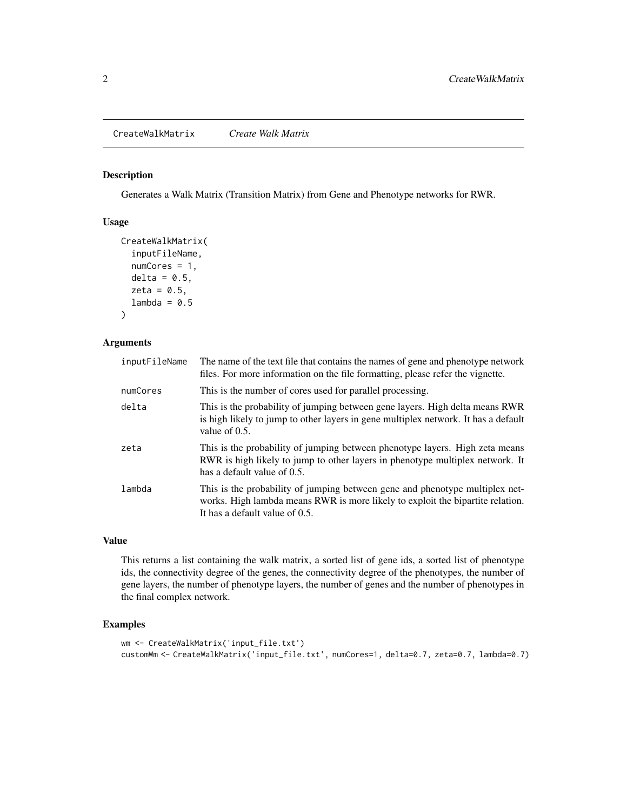#### <span id="page-1-0"></span>Description

Generates a Walk Matrix (Transition Matrix) from Gene and Phenotype networks for RWR.

#### Usage

```
CreateWalkMatrix(
  inputFileName,
  numCores = 1,
  delta = 0.5,
  zeta = 0.5,
  lambda = 0.5)
```
#### Arguments

| inputFileName | The name of the text file that contains the names of gene and phenotype network<br>files. For more information on the file formatting, please refer the vignette.                                |
|---------------|--------------------------------------------------------------------------------------------------------------------------------------------------------------------------------------------------|
| numCores      | This is the number of cores used for parallel processing.                                                                                                                                        |
| delta         | This is the probability of jumping between gene layers. High delta means RWR<br>is high likely to jump to other layers in gene multiplex network. It has a default<br>value of $0.5$ .           |
| zeta          | This is the probability of jumping between phenotype layers. High zeta means<br>RWR is high likely to jump to other layers in phenotype multiplex network. It<br>has a default value of 0.5.     |
| lambda        | This is the probability of jumping between gene and phenotype multiplex net-<br>works. High lambda means RWR is more likely to exploit the bipartite relation.<br>It has a default value of 0.5. |

#### Value

This returns a list containing the walk matrix, a sorted list of gene ids, a sorted list of phenotype ids, the connectivity degree of the genes, the connectivity degree of the phenotypes, the number of gene layers, the number of phenotype layers, the number of genes and the number of phenotypes in the final complex network.

#### Examples

```
wm <- CreateWalkMatrix('input_file.txt')
customWm <- CreateWalkMatrix('input_file.txt', numCores=1, delta=0.7, zeta=0.7, lambda=0.7)
```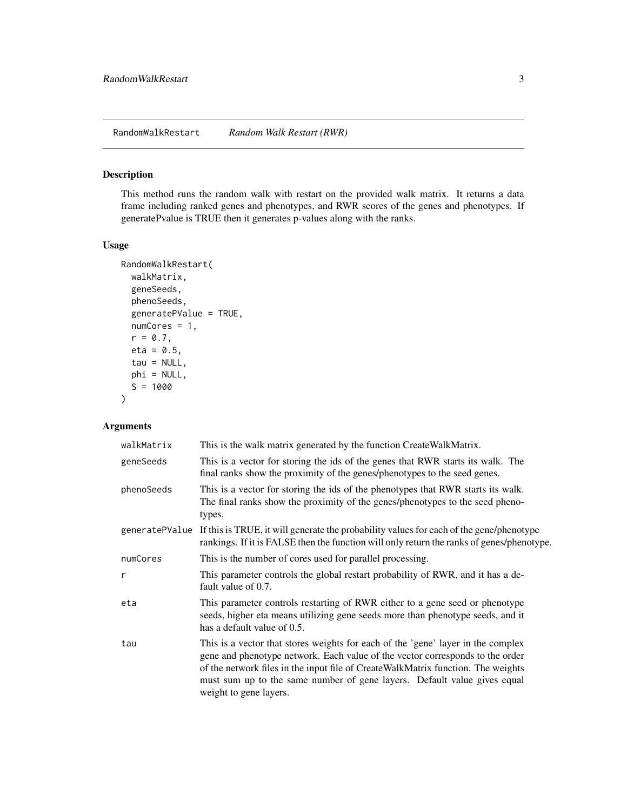<span id="page-2-0"></span>RandomWalkRestart *Random Walk Restart (RWR)*

#### Description

This method runs the random walk with restart on the provided walk matrix. It returns a data frame including ranked genes and phenotypes, and RWR scores of the genes and phenotypes. If generatePvalue is TRUE then it generates p-values along with the ranks.

#### Usage

```
RandomWalkRestart(
  walkMatrix,
  geneSeeds,
 phenoSeeds,
  generatePValue = TRUE,
 numCores = 1,
  r = 0.7,
  eta = 0.5,
  tau = NULL,
 phi = NULL,S = 1000\mathcal{L}
```
#### Arguments

| walkMatrix   | This is the walk matrix generated by the function CreateWalkMatrix.                                                                                                                                                                                                                                                                                         |
|--------------|-------------------------------------------------------------------------------------------------------------------------------------------------------------------------------------------------------------------------------------------------------------------------------------------------------------------------------------------------------------|
| geneSeeds    | This is a vector for storing the ids of the genes that RWR starts its walk. The<br>final ranks show the proximity of the genes/phenotypes to the seed genes.                                                                                                                                                                                                |
| phenoSeeds   | This is a vector for storing the ids of the phenotypes that RWR starts its walk.<br>The final ranks show the proximity of the genes/phenotypes to the seed pheno-<br>types.                                                                                                                                                                                 |
|              | generate PValue If this is TRUE, it will generate the probability values for each of the gene/phenotype<br>rankings. If it is FALSE then the function will only return the ranks of genes/phenotype.                                                                                                                                                        |
| numCores     | This is the number of cores used for parallel processing.                                                                                                                                                                                                                                                                                                   |
| $\mathsf{r}$ | This parameter controls the global restart probability of RWR, and it has a de-<br>fault value of 0.7.                                                                                                                                                                                                                                                      |
| eta          | This parameter controls restarting of RWR either to a gene seed or phenotype<br>seeds, higher eta means utilizing gene seeds more than phenotype seeds, and it<br>has a default value of 0.5.                                                                                                                                                               |
| tau          | This is a vector that stores weights for each of the 'gene' layer in the complex<br>gene and phenotype network. Each value of the vector corresponds to the order<br>of the network files in the input file of CreateWalkMatrix function. The weights<br>must sum up to the same number of gene layers. Default value gives equal<br>weight to gene layers. |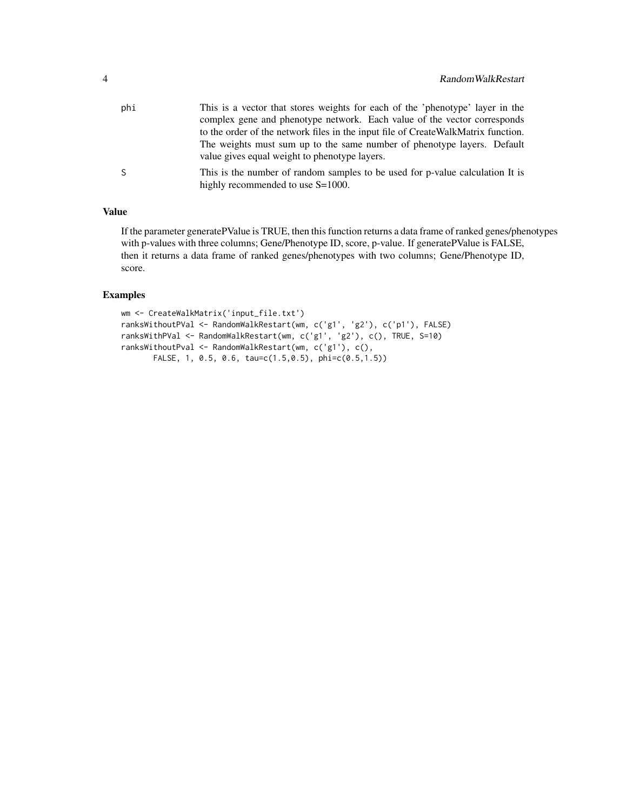| phi | This is a vector that stores weights for each of the 'phenotype' layer in the<br>complex gene and phenotype network. Each value of the vector corresponds |
|-----|-----------------------------------------------------------------------------------------------------------------------------------------------------------|
|     | to the order of the network files in the input file of CreateWalkMatrix function.                                                                         |
|     | The weights must sum up to the same number of phenotype layers. Default<br>value gives equal weight to phenotype layers.                                  |
| S.  | This is the number of random samples to be used for p-value calculation It is<br>highly recommended to use S=1000.                                        |

#### Value

If the parameter generatePValue is TRUE, then this function returns a data frame of ranked genes/phenotypes with p-values with three columns; Gene/Phenotype ID, score, p-value. If generatePValue is FALSE, then it returns a data frame of ranked genes/phenotypes with two columns; Gene/Phenotype ID, score.

#### Examples

```
wm <- CreateWalkMatrix('input_file.txt')
ranksWithoutPVal <- RandomWalkRestart(wm, c('g1', 'g2'), c('p1'), FALSE)
ranksWithPVal <- RandomWalkRestart(wm, c('g1', 'g2'), c(), TRUE, S=10)
ranksWithoutPval <- RandomWalkRestart(wm, c('g1'), c(),
      FALSE, 1, 0.5, 0.6, tau=c(1.5,0.5), phi=c(0.5,1.5))
```